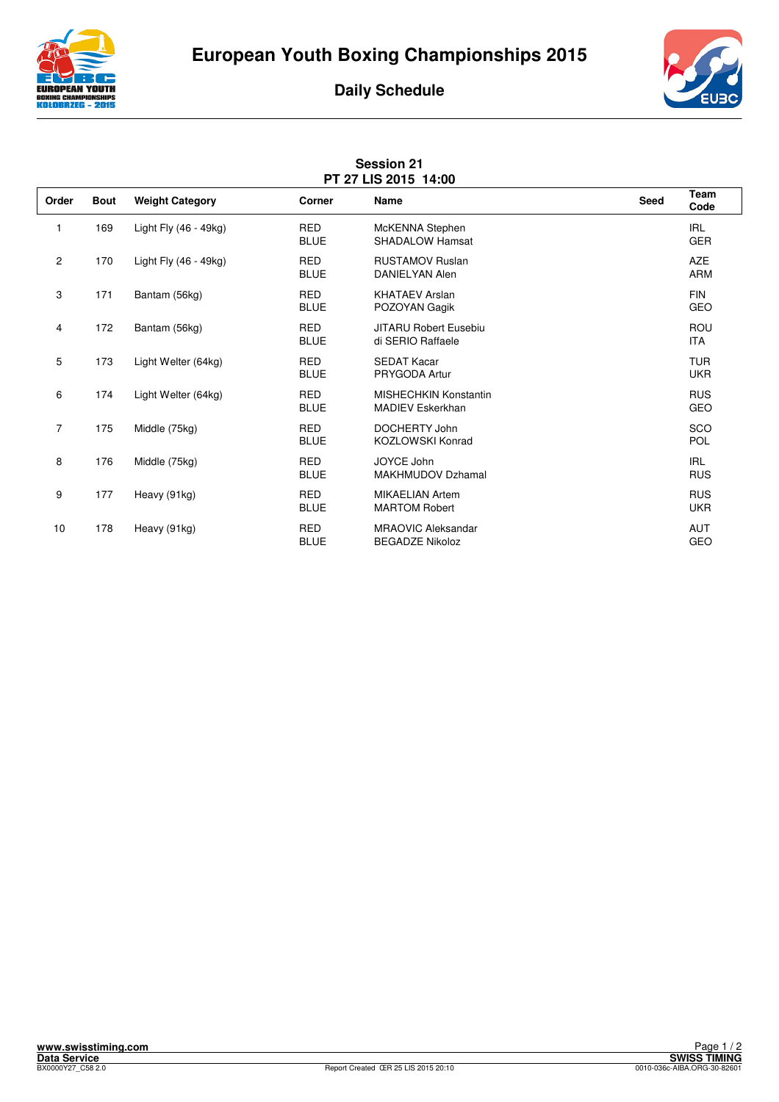





| <b>Session 21</b><br>PT 27 LIS 2015 14:00 |             |                        |                           |                                                         |             |                          |  |  |  |
|-------------------------------------------|-------------|------------------------|---------------------------|---------------------------------------------------------|-------------|--------------------------|--|--|--|
| Order                                     | <b>Bout</b> | <b>Weight Category</b> | Corner                    | <b>Name</b>                                             | <b>Seed</b> | Team<br>Code             |  |  |  |
| $\mathbf{1}$                              | 169         | Light Fly (46 - 49kg)  | <b>RED</b><br><b>BLUE</b> | McKENNA Stephen<br><b>SHADALOW Hamsat</b>               |             | <b>IRL</b><br><b>GER</b> |  |  |  |
| 2                                         | 170         | Light Fly (46 - 49kg)  | <b>RED</b><br><b>BLUE</b> | <b>RUSTAMOV Ruslan</b><br><b>DANIELYAN Alen</b>         |             | <b>AZE</b><br><b>ARM</b> |  |  |  |
| 3                                         | 171         | Bantam (56kg)          | <b>RED</b><br><b>BLUE</b> | <b>KHATAEV Arslan</b><br>POZOYAN Gagik                  |             | <b>FIN</b><br><b>GEO</b> |  |  |  |
| 4                                         | 172         | Bantam (56kg)          | <b>RED</b><br><b>BLUE</b> | <b>JITARU Robert Eusebiu</b><br>di SERIO Raffaele       |             | <b>ROU</b><br><b>ITA</b> |  |  |  |
| 5                                         | 173         | Light Welter (64kg)    | <b>RED</b><br><b>BLUE</b> | <b>SEDAT Kacar</b><br>PRYGODA Artur                     |             | <b>TUR</b><br><b>UKR</b> |  |  |  |
| 6                                         | 174         | Light Welter (64kg)    | <b>RED</b><br><b>BLUE</b> | <b>MISHECHKIN Konstantin</b><br><b>MADIEV Eskerkhan</b> |             | <b>RUS</b><br>GEO        |  |  |  |
| 7                                         | 175         | Middle (75kg)          | <b>RED</b><br><b>BLUE</b> | DOCHERTY John<br><b>KOZLOWSKI Konrad</b>                |             | SCO<br><b>POL</b>        |  |  |  |
| 8                                         | 176         | Middle (75kg)          | <b>RED</b><br><b>BLUE</b> | JOYCE John<br><b>MAKHMUDOV Dzhamal</b>                  |             | <b>IRL</b><br><b>RUS</b> |  |  |  |
| 9                                         | 177         | Heavy (91kg)           | <b>RED</b><br><b>BLUE</b> | <b>MIKAELIAN Artem</b><br><b>MARTOM Robert</b>          |             | <b>RUS</b><br><b>UKR</b> |  |  |  |
| 10                                        | 178         | Heavy (91kg)           | <b>RED</b><br><b>BLUE</b> | <b>MRAOVIC Aleksandar</b><br><b>BEGADZE Nikoloz</b>     |             | <b>AUT</b><br>GEO        |  |  |  |